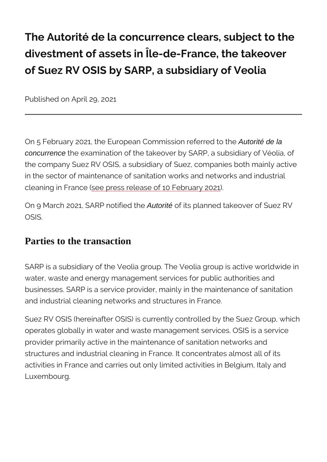The Autorité de la concurrence clears, divestment of assets in Île-de-France, of Suez RV OSIS by SARP, a subsidiary

Published on April 29, 2021

On 5 February 2021, the European Comm<sup>u</sup>ius of the ferred to the Autorité of the Autorité de la the Autorité de la concurrence the examination of the takeover by SARP, a subst the company Suez RV OSIS, a subsidiary of Suez, compa in the sector of maintenance of sanitation works and net cleaning in Francers release of 10 February 2021

On 9 March 2021, SAR PAutocité i bife dit sthpel anned takeover of Su OSIS.

## Parties to the transaction

SARP is a subsidiary of the Veolia group. The Veolia gro water, waste and energy management services for public businesses. SARP is a service provider, mainly in the ma and industrial cleaning networks and structures in France.

Suez RV OSIS (hereinafter OSIS) is currently controlled operates globally in water and waste management service provider primarily active in the maintenance of sanitation structures and industrial cleaning in France. It concentration activities in France and carries out only limited activitie Luxembourg.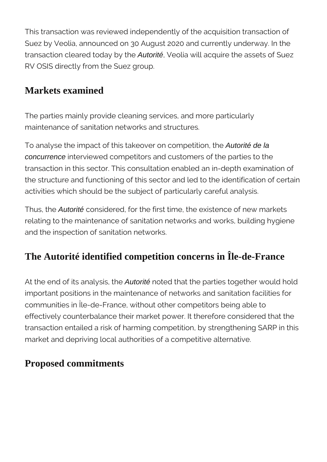This transaction was reviewed independently of the acquisition transaction of Suez by Veolia, announced on 30 August 2020 and currently underway. In the transaction cleared today by the Autorité, Veolia will acquire the assets of Suez RV OSIS directly from the Suez group.

## **Markets examined**

The parties mainly provide cleaning services, and more particularly maintenance of sanitation networks and structures.

To analyse the impact of this takeover on competition, the Autorité de la concurrence interviewed competitors and customers of the parties to the transaction in this sector. This consultation enabled an in-depth examination of the structure and functioning of this sector and led to the identification of certain activities which should be the subject of particularly careful analysis.

Thus, the **Autorité** considered, for the first time, the existence of new markets relating to the maintenance of sanitation networks and works, building hygiene and the inspection of sanitation networks.

## **The Autorité identified competition concerns in Île-de-France**

At the end of its analysis, the **Autorité** noted that the parties together would hold important positions in the maintenance of networks and sanitation facilities for communities in Île-de-France, without other competitors being able to effectively counterbalance their market power. It therefore considered that the transaction entailed a risk of harming competition, by strengthening SARP in this market and depriving local authorities of a competitive alternative.

## **Proposed commitments**